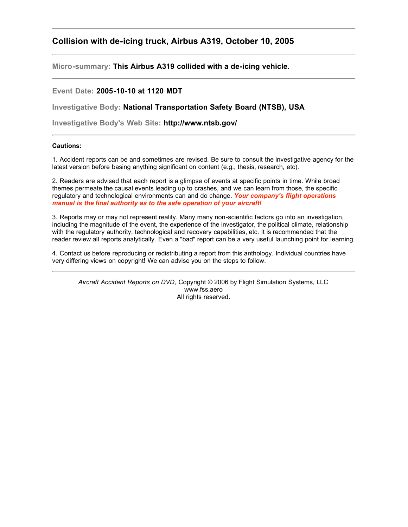## **Collision with de-icing truck, Airbus A319, October 10, 2005**

**Micro-summary: This Airbus A319 collided with a de-icing vehicle.**

## **Event Date: 2005-10-10 at 1120 MDT**

**Investigative Body: National Transportation Safety Board (NTSB), USA**

**Investigative Body's Web Site: http://www.ntsb.gov/**

## **Cautions:**

1. Accident reports can be and sometimes are revised. Be sure to consult the investigative agency for the latest version before basing anything significant on content (e.g., thesis, research, etc).

2. Readers are advised that each report is a glimpse of events at specific points in time. While broad themes permeate the causal events leading up to crashes, and we can learn from those, the specific regulatory and technological environments can and do change. *Your company's flight operations manual is the final authority as to the safe operation of your aircraft!*

3. Reports may or may not represent reality. Many many non-scientific factors go into an investigation, including the magnitude of the event, the experience of the investigator, the political climate, relationship with the regulatory authority, technological and recovery capabilities, etc. It is recommended that the reader review all reports analytically. Even a "bad" report can be a very useful launching point for learning.

4. Contact us before reproducing or redistributing a report from this anthology. Individual countries have very differing views on copyright! We can advise you on the steps to follow.

*Aircraft Accident Reports on DVD*, Copyright © 2006 by Flight Simulation Systems, LLC www.fss.aero All rights reserved.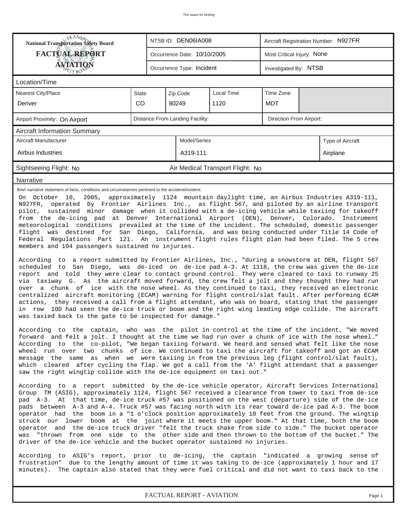| <b>TRANSA</b><br>National Transportation Safety Board                                                                                                                                                                                                                                                                                                                                 |                                                                                                                                                                                                                                                                                                                                                                                                                                                                                                                                                                                                                                                                                                                                                                                                                                                                                                                                                                                                                                                                                                                                                                                                                                                                                                                                                                                                                                                                                                                                                                                                                                                                                                                                                                                                                                                                                                                                                                                                                                                                                                                                                                                                                                                                                                                                                                                                                                                                                                                                                                                                                                                                                                                                                                                                                                                                                                                                                                                                   |                                                            | NTSB ID: DEN06IA008         |                                  |                            | Aircraft Registration Number: N927FR |                  |  |  |  |
|---------------------------------------------------------------------------------------------------------------------------------------------------------------------------------------------------------------------------------------------------------------------------------------------------------------------------------------------------------------------------------------|---------------------------------------------------------------------------------------------------------------------------------------------------------------------------------------------------------------------------------------------------------------------------------------------------------------------------------------------------------------------------------------------------------------------------------------------------------------------------------------------------------------------------------------------------------------------------------------------------------------------------------------------------------------------------------------------------------------------------------------------------------------------------------------------------------------------------------------------------------------------------------------------------------------------------------------------------------------------------------------------------------------------------------------------------------------------------------------------------------------------------------------------------------------------------------------------------------------------------------------------------------------------------------------------------------------------------------------------------------------------------------------------------------------------------------------------------------------------------------------------------------------------------------------------------------------------------------------------------------------------------------------------------------------------------------------------------------------------------------------------------------------------------------------------------------------------------------------------------------------------------------------------------------------------------------------------------------------------------------------------------------------------------------------------------------------------------------------------------------------------------------------------------------------------------------------------------------------------------------------------------------------------------------------------------------------------------------------------------------------------------------------------------------------------------------------------------------------------------------------------------------------------------------------------------------------------------------------------------------------------------------------------------------------------------------------------------------------------------------------------------------------------------------------------------------------------------------------------------------------------------------------------------------------------------------------------------------------------------------------------------|------------------------------------------------------------|-----------------------------|----------------------------------|----------------------------|--------------------------------------|------------------|--|--|--|
| <b>FACTUAL REPORT</b>                                                                                                                                                                                                                                                                                                                                                                 |                                                                                                                                                                                                                                                                                                                                                                                                                                                                                                                                                                                                                                                                                                                                                                                                                                                                                                                                                                                                                                                                                                                                                                                                                                                                                                                                                                                                                                                                                                                                                                                                                                                                                                                                                                                                                                                                                                                                                                                                                                                                                                                                                                                                                                                                                                                                                                                                                                                                                                                                                                                                                                                                                                                                                                                                                                                                                                                                                                                                   |                                                            | Occurrence Date: 10/10/2005 |                                  | Most Critical Injury: None |                                      |                  |  |  |  |
| ÁVIATIQN                                                                                                                                                                                                                                                                                                                                                                              |                                                                                                                                                                                                                                                                                                                                                                                                                                                                                                                                                                                                                                                                                                                                                                                                                                                                                                                                                                                                                                                                                                                                                                                                                                                                                                                                                                                                                                                                                                                                                                                                                                                                                                                                                                                                                                                                                                                                                                                                                                                                                                                                                                                                                                                                                                                                                                                                                                                                                                                                                                                                                                                                                                                                                                                                                                                                                                                                                                                                   |                                                            | Occurrence Type: Incident   |                                  | Investigated By: NTSB      |                                      |                  |  |  |  |
| Location/Time                                                                                                                                                                                                                                                                                                                                                                         |                                                                                                                                                                                                                                                                                                                                                                                                                                                                                                                                                                                                                                                                                                                                                                                                                                                                                                                                                                                                                                                                                                                                                                                                                                                                                                                                                                                                                                                                                                                                                                                                                                                                                                                                                                                                                                                                                                                                                                                                                                                                                                                                                                                                                                                                                                                                                                                                                                                                                                                                                                                                                                                                                                                                                                                                                                                                                                                                                                                                   |                                                            |                             |                                  |                            |                                      |                  |  |  |  |
| <b>Nearest City/Place</b>                                                                                                                                                                                                                                                                                                                                                             | <b>State</b>                                                                                                                                                                                                                                                                                                                                                                                                                                                                                                                                                                                                                                                                                                                                                                                                                                                                                                                                                                                                                                                                                                                                                                                                                                                                                                                                                                                                                                                                                                                                                                                                                                                                                                                                                                                                                                                                                                                                                                                                                                                                                                                                                                                                                                                                                                                                                                                                                                                                                                                                                                                                                                                                                                                                                                                                                                                                                                                                                                                      |                                                            | Zip Code                    |                                  |                            |                                      |                  |  |  |  |
| Denver                                                                                                                                                                                                                                                                                                                                                                                | CO                                                                                                                                                                                                                                                                                                                                                                                                                                                                                                                                                                                                                                                                                                                                                                                                                                                                                                                                                                                                                                                                                                                                                                                                                                                                                                                                                                                                                                                                                                                                                                                                                                                                                                                                                                                                                                                                                                                                                                                                                                                                                                                                                                                                                                                                                                                                                                                                                                                                                                                                                                                                                                                                                                                                                                                                                                                                                                                                                                                                |                                                            | 80249                       | 1120                             | <b>MDT</b>                 |                                      |                  |  |  |  |
| Airport Proximity: On Airport                                                                                                                                                                                                                                                                                                                                                         |                                                                                                                                                                                                                                                                                                                                                                                                                                                                                                                                                                                                                                                                                                                                                                                                                                                                                                                                                                                                                                                                                                                                                                                                                                                                                                                                                                                                                                                                                                                                                                                                                                                                                                                                                                                                                                                                                                                                                                                                                                                                                                                                                                                                                                                                                                                                                                                                                                                                                                                                                                                                                                                                                                                                                                                                                                                                                                                                                                                                   | Distance From Landing Facility:<br>Direction From Airport: |                             |                                  |                            |                                      |                  |  |  |  |
| <b>Aircraft Information Summary</b>                                                                                                                                                                                                                                                                                                                                                   |                                                                                                                                                                                                                                                                                                                                                                                                                                                                                                                                                                                                                                                                                                                                                                                                                                                                                                                                                                                                                                                                                                                                                                                                                                                                                                                                                                                                                                                                                                                                                                                                                                                                                                                                                                                                                                                                                                                                                                                                                                                                                                                                                                                                                                                                                                                                                                                                                                                                                                                                                                                                                                                                                                                                                                                                                                                                                                                                                                                                   |                                                            |                             |                                  |                            |                                      |                  |  |  |  |
| Aircraft Manufacturer                                                                                                                                                                                                                                                                                                                                                                 |                                                                                                                                                                                                                                                                                                                                                                                                                                                                                                                                                                                                                                                                                                                                                                                                                                                                                                                                                                                                                                                                                                                                                                                                                                                                                                                                                                                                                                                                                                                                                                                                                                                                                                                                                                                                                                                                                                                                                                                                                                                                                                                                                                                                                                                                                                                                                                                                                                                                                                                                                                                                                                                                                                                                                                                                                                                                                                                                                                                                   |                                                            | Model/Series                |                                  |                            |                                      | Type of Aircraft |  |  |  |
| Airbus Industries                                                                                                                                                                                                                                                                                                                                                                     |                                                                                                                                                                                                                                                                                                                                                                                                                                                                                                                                                                                                                                                                                                                                                                                                                                                                                                                                                                                                                                                                                                                                                                                                                                                                                                                                                                                                                                                                                                                                                                                                                                                                                                                                                                                                                                                                                                                                                                                                                                                                                                                                                                                                                                                                                                                                                                                                                                                                                                                                                                                                                                                                                                                                                                                                                                                                                                                                                                                                   |                                                            | A319-111                    |                                  |                            |                                      | Airplane         |  |  |  |
| Sightseeing Flight: No                                                                                                                                                                                                                                                                                                                                                                |                                                                                                                                                                                                                                                                                                                                                                                                                                                                                                                                                                                                                                                                                                                                                                                                                                                                                                                                                                                                                                                                                                                                                                                                                                                                                                                                                                                                                                                                                                                                                                                                                                                                                                                                                                                                                                                                                                                                                                                                                                                                                                                                                                                                                                                                                                                                                                                                                                                                                                                                                                                                                                                                                                                                                                                                                                                                                                                                                                                                   |                                                            |                             | Air Medical Transport Flight: No |                            |                                      |                  |  |  |  |
| Narrative                                                                                                                                                                                                                                                                                                                                                                             |                                                                                                                                                                                                                                                                                                                                                                                                                                                                                                                                                                                                                                                                                                                                                                                                                                                                                                                                                                                                                                                                                                                                                                                                                                                                                                                                                                                                                                                                                                                                                                                                                                                                                                                                                                                                                                                                                                                                                                                                                                                                                                                                                                                                                                                                                                                                                                                                                                                                                                                                                                                                                                                                                                                                                                                                                                                                                                                                                                                                   |                                                            |                             |                                  |                            |                                      |                  |  |  |  |
| N927FR,<br>struck our lower boom at the joint where it meets the upper boom." At that time, both the boom<br>operator and the de-ice truck driver "felt the truck shake from side to side." The bucket operator<br>was "thrown from one side to the other side and then thrown to the bottom of the bucket." The                                                                      | Brief narrative statement of facts, conditions and circumstances pertinent to the accident/incident:<br>On October 10, 2005, approximately 1124 mountain daylight time, an Airbus Industries A319-111,<br>operated by Frontier Airlines Inc., as flight 567, and piloted by an airline transport<br>pilot, sustained minor damage when it collided with a de-icing vehicle while taxiing for takeoff<br>from the de-icing pad at Denver International Airport (DEN), Denver, Colorado. Instrument<br>meteorological conditions prevailed at the time of the incident. The scheduled, domestic passenger<br>flight was destined for San Diego, California, and was being conducted under Title 14 Code of<br>Federal Regulations Part 121. An instrument flight rules flight plan had been filed. The 5 crew<br>members and 104 passengers sustained no injuries.<br>According to a report submitted by Frontier Airlines, Inc., "during a snowstorm at DEN, flight 567<br>scheduled to San Diego, was de-iced on de-ice pad A-3. At 1118, the crew was given the de-ice<br>report and told they were clear to contact ground control. They were cleared to taxi to runway 25<br>via taxiway G. As the aircraft moved forward, the crew felt a jolt and they thought they had run<br>over a chunk of ice with the nose wheel. As they continued to taxi, they received an electronic<br>centralized aircraft monitoring (ECAM) warning for flight control/slat fault. After performing ECAM<br>actions, they received a call from a flight attendant, who was on board, stating that the passenger<br>in row 10D had seen the de-ice truck or boom and the right wing leading edge collide. The aircraft<br>was taxied back to the gate to be inspected for damage."<br>According to the captain, who was the pilot in control at the time of the incident,<br>"We moved<br>forward and felt a jolt. I thought at the time we had run over a chunk of ice with the nose wheel."<br>According to the co-pilot, "We began taxiing forward. We heard and sensed what felt like the nose<br>wheel run over two chunks of ice. We continued to taxi the aircraft for takeoff and got an ECAM<br>message the same as when we were taxiing in from the previous leg (flight control/slat fault),<br>which cleared after cycling the flap. We got a call from the 'A' flight attendant that a passenger<br>saw the right wingtip collide with the de-ice equipment on taxi out."<br>According to a report submitted by the de-ice vehicle operator, Aircraft Services International<br>Group TM (ASIG), approximately 1124, flight 567 received a clearance from tower to taxi from de-ice<br>pad A-3. At that time, de-ice truck #57 was positioned on the west (departure) side of the de-ice<br>pads between A-3 and A-4. Truck #57 was facing north with its rear toward de-ice pad A-3. The boom<br>operator had the boom in a "1 o'clock position approximately 10 feet from the ground. The wingtip |                                                            |                             |                                  |                            |                                      |                  |  |  |  |
| driver of the de-ice vehicle and the bucket operator sustained no injuries.<br>According to ASIG's report, prior to de-icing, the captain "indicated a growing sense of<br>frustration" due to the lengthy amount of time it was taking to de-ice (approximately 1 hour and 17<br>minutes). The captain also stated that they were fuel critical and did not want to taxi back to the |                                                                                                                                                                                                                                                                                                                                                                                                                                                                                                                                                                                                                                                                                                                                                                                                                                                                                                                                                                                                                                                                                                                                                                                                                                                                                                                                                                                                                                                                                                                                                                                                                                                                                                                                                                                                                                                                                                                                                                                                                                                                                                                                                                                                                                                                                                                                                                                                                                                                                                                                                                                                                                                                                                                                                                                                                                                                                                                                                                                                   |                                                            |                             |                                  |                            |                                      |                  |  |  |  |
| FACTUAL REPORT - AVIATION<br>Page 1                                                                                                                                                                                                                                                                                                                                                   |                                                                                                                                                                                                                                                                                                                                                                                                                                                                                                                                                                                                                                                                                                                                                                                                                                                                                                                                                                                                                                                                                                                                                                                                                                                                                                                                                                                                                                                                                                                                                                                                                                                                                                                                                                                                                                                                                                                                                                                                                                                                                                                                                                                                                                                                                                                                                                                                                                                                                                                                                                                                                                                                                                                                                                                                                                                                                                                                                                                                   |                                                            |                             |                                  |                            |                                      |                  |  |  |  |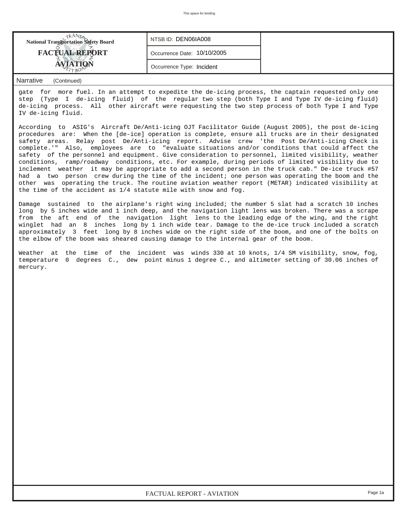| <b>FACTUAL REPORT</b><br>Occurrence Date: 10/10/2005<br>Occurrence Type: Incident | <b>National Transportation Safety Board</b> | NTSB ID: DEN06IA008 |  |
|-----------------------------------------------------------------------------------|---------------------------------------------|---------------------|--|
|                                                                                   |                                             |                     |  |
|                                                                                   |                                             |                     |  |

## *Narrative (Continued)*

gate for more fuel. In an attempt to expedite the de-icing process, the captain requested only one step (Type I de-icing fluid) of the regular two step (both Type I and Type IV de-icing fluid) de-icing process. All other aircraft were requesting the two step process of both Type I and Type IV de-icing fluid.

According to ASIG's Aircraft De/Anti-icing OJT Facilitator Guide (August 2005), the post de-icing procedures are: When the [de-ice] operation is complete, ensure all trucks are in their designated safety areas. Relay post De/Anti-icing report. Advise crew 'the Post De/Anti-icing Check is complete.'" Also, employees are to "evaluate situations and/or conditions that could affect the safety of the personnel and equipment. Give consideration to personnel, limited visibility, weather conditions, ramp/roadway conditions, etc. For example, during periods of limited visibility due to inclement weather it may be appropriate to add a second person in the truck cab." De-ice truck #57 had a two person crew during the time of the incident; one person was operating the boom and the other was operating the truck. The routine aviation weather report (METAR) indicated visibility at the time of the accident as 1/4 statute mile with snow and fog.

Damage sustained to the airplane's right wing included; the number 5 slat had a scratch 10 inches long by 5 inches wide and 1 inch deep, and the navigation light lens was broken. There was a scrape from the aft end of the navigation light lens to the leading edge of the wing, and the right winglet had an 8 inches long by 1 inch wide tear. Damage to the de-ice truck included a scratch approximately 3 feet long by 8 inches wide on the right side of the boom, and one of the bolts on the elbow of the boom was sheared causing damage to the internal gear of the boom.

Weather at the time of the incident was winds 330 at 10 knots, 1/4 SM visibility, snow, fog, temperature 0 degrees C., dew point minus 1 degree C., and altimeter setting of 30.06 inches of mercury.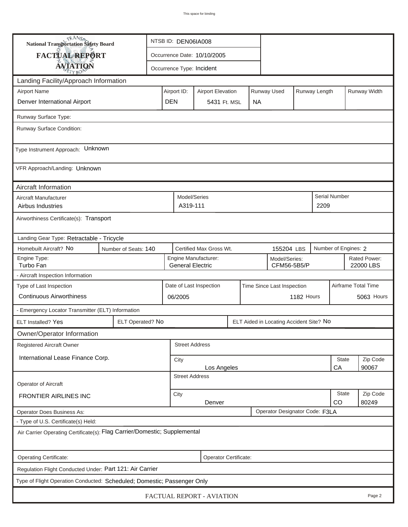| <b>National Transportation Safety Board</b>                                                                     |                                                                                 | NTSB ID: DEN06IA008                                         |                           |                                      |                         |             |                           |                            |            |                   |                      |                     |  |
|-----------------------------------------------------------------------------------------------------------------|---------------------------------------------------------------------------------|-------------------------------------------------------------|---------------------------|--------------------------------------|-------------------------|-------------|---------------------------|----------------------------|------------|-------------------|----------------------|---------------------|--|
| FACTUAL REPORT                                                                                                  |                                                                                 | Occurrence Date: 10/10/2005                                 |                           |                                      |                         |             |                           |                            |            |                   |                      |                     |  |
| <b>AVIATION</b>                                                                                                 |                                                                                 |                                                             | Occurrence Type: Incident |                                      |                         |             |                           |                            |            |                   |                      |                     |  |
| Landing Facility/Approach Information                                                                           |                                                                                 |                                                             |                           |                                      |                         |             |                           |                            |            |                   |                      |                     |  |
| <b>Airport Name</b>                                                                                             | Airport ID:                                                                     |                                                             | <b>Airport Elevation</b>  |                                      |                         | Runway Used |                           | Runway Length              |            | Runway Width      |                      |                     |  |
| Denver International Airport                                                                                    | <b>DEN</b>                                                                      |                                                             | 5431 Ft. MSL              |                                      | <b>NA</b>               |             |                           |                            |            |                   |                      |                     |  |
| Runway Surface Type:                                                                                            |                                                                                 |                                                             |                           |                                      |                         |             |                           |                            |            |                   |                      |                     |  |
| Runway Surface Condition:                                                                                       |                                                                                 |                                                             |                           |                                      |                         |             |                           |                            |            |                   |                      |                     |  |
| Type Instrument Approach: Unknown                                                                               |                                                                                 |                                                             |                           |                                      |                         |             |                           |                            |            |                   |                      |                     |  |
| VFR Approach/Landing: Unknown                                                                                   |                                                                                 |                                                             |                           |                                      |                         |             |                           |                            |            |                   |                      |                     |  |
| Aircraft Information                                                                                            |                                                                                 |                                                             |                           |                                      |                         |             |                           |                            |            |                   |                      |                     |  |
| Aircraft Manufacturer<br>Airbus Industries                                                                      |                                                                                 |                                                             |                           | Model/Series<br>A319-111             |                         |             |                           |                            |            | 2209              | <b>Serial Number</b> |                     |  |
| Airworthiness Certificate(s): Transport                                                                         |                                                                                 |                                                             |                           |                                      |                         |             |                           |                            |            |                   |                      |                     |  |
| Landing Gear Type: Retractable - Tricycle                                                                       |                                                                                 |                                                             |                           |                                      |                         |             |                           |                            |            |                   |                      |                     |  |
| Homebuilt Aircraft? No<br>Certified Max Gross Wt.<br>Number of Engines: 2<br>Number of Seats: 140<br>155204 LBS |                                                                                 |                                                             |                           |                                      |                         |             |                           |                            |            |                   |                      |                     |  |
| Engine Type:<br>Turbo Fan                                                                                       | Engine Manufacturer:<br>Model/Series:<br><b>General Electric</b><br>CFM56-5B5/P |                                                             |                           |                                      |                         |             | Rated Power:<br>22000 LBS |                            |            |                   |                      |                     |  |
| - Aircraft Inspection Information                                                                               |                                                                                 |                                                             |                           |                                      |                         |             |                           |                            |            |                   |                      |                     |  |
| Type of Last Inspection                                                                                         |                                                                                 |                                                             |                           |                                      | Date of Last Inspection |             |                           | Time Since Last Inspection |            |                   |                      | Airframe Total Time |  |
| <b>Continuous Airworthiness</b>                                                                                 |                                                                                 |                                                             | 06/2005                   |                                      |                         |             |                           |                            | 1182 Hours |                   |                      | <b>5063 Hours</b>   |  |
| - Emergency Locator Transmitter (ELT) Information                                                               |                                                                                 |                                                             |                           |                                      |                         |             |                           |                            |            |                   |                      |                     |  |
| ELT Installed? Yes                                                                                              |                                                                                 | ELT Operated? No<br>ELT Aided in Locating Accident Site? No |                           |                                      |                         |             |                           |                            |            |                   |                      |                     |  |
| Owner/Operator Information                                                                                      |                                                                                 |                                                             |                           |                                      |                         |             |                           |                            |            |                   |                      |                     |  |
| Registered Aircraft Owner                                                                                       |                                                                                 |                                                             |                           | <b>Street Address</b>                |                         |             |                           |                            |            |                   |                      |                     |  |
| International Lease Finance Corp.                                                                               |                                                                                 |                                                             | City                      |                                      |                         |             |                           |                            |            | <b>State</b>      | Zip Code             |                     |  |
|                                                                                                                 | CA<br>90067<br>Los Angeles<br><b>Street Address</b>                             |                                                             |                           |                                      |                         |             |                           |                            |            |                   |                      |                     |  |
| Operator of Aircraft                                                                                            |                                                                                 |                                                             |                           |                                      |                         |             |                           |                            |            |                   |                      |                     |  |
| FRONTIER AIRLINES INC                                                                                           |                                                                                 |                                                             |                           | <b>State</b><br>City<br>CO<br>Denver |                         |             |                           |                            |            | Zip Code<br>80249 |                      |                     |  |
| Operator Designator Code: F3LA<br><b>Operator Does Business As:</b>                                             |                                                                                 |                                                             |                           |                                      |                         |             |                           |                            |            |                   |                      |                     |  |
| - Type of U.S. Certificate(s) Held:                                                                             |                                                                                 |                                                             |                           |                                      |                         |             |                           |                            |            |                   |                      |                     |  |
| Air Carrier Operating Certificate(s): Flag Carrier/Domestic; Supplemental                                       |                                                                                 |                                                             |                           |                                      |                         |             |                           |                            |            |                   |                      |                     |  |
| Operating Certificate:<br>Operator Certificate:                                                                 |                                                                                 |                                                             |                           |                                      |                         |             |                           |                            |            |                   |                      |                     |  |
| Regulation Flight Conducted Under: Part 121: Air Carrier                                                        |                                                                                 |                                                             |                           |                                      |                         |             |                           |                            |            |                   |                      |                     |  |
| Type of Flight Operation Conducted: Scheduled; Domestic; Passenger Only                                         |                                                                                 |                                                             |                           |                                      |                         |             |                           |                            |            |                   |                      |                     |  |
| FACTUAL REPORT - AVIATION<br>Page 2                                                                             |                                                                                 |                                                             |                           |                                      |                         |             |                           |                            |            |                   |                      |                     |  |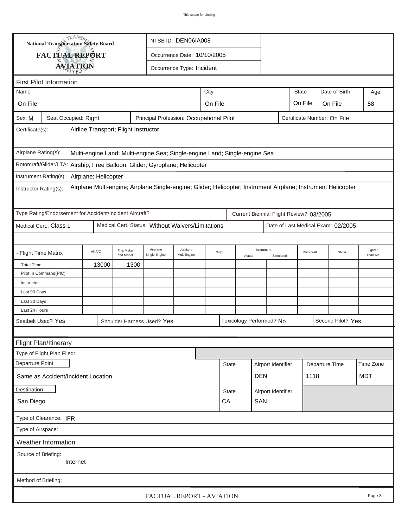| TRANSA<br>NTSB ID: DEN06IA008<br><b>National Transportation Safety Board</b>                                                           |                                                                             |                      |                        |                                                   |                                     |       |                                    |                          |                         |            |                                         |                                    |                     |
|----------------------------------------------------------------------------------------------------------------------------------------|-----------------------------------------------------------------------------|----------------------|------------------------|---------------------------------------------------|-------------------------------------|-------|------------------------------------|--------------------------|-------------------------|------------|-----------------------------------------|------------------------------------|---------------------|
|                                                                                                                                        | <b>FACTUAL REPORT</b>                                                       |                      |                        |                                                   | Occurrence Date: 10/10/2005         |       |                                    |                          |                         |            |                                         |                                    |                     |
|                                                                                                                                        | <b>AVIATION</b>                                                             |                      |                        |                                                   | Occurrence Type: Incident           |       |                                    |                          |                         |            |                                         |                                    |                     |
|                                                                                                                                        |                                                                             |                      |                        |                                                   |                                     |       |                                    |                          |                         |            |                                         |                                    |                     |
|                                                                                                                                        | <b>First Pilot Information</b>                                              |                      |                        |                                                   |                                     |       |                                    |                          |                         |            |                                         | Date of Birth                      |                     |
| City<br>Name                                                                                                                           |                                                                             |                      |                        |                                                   |                                     |       |                                    |                          |                         | State      |                                         | Age                                |                     |
| On File                                                                                                                                |                                                                             |                      |                        |                                                   | On File<br>On File<br>On File<br>58 |       |                                    |                          |                         |            |                                         |                                    |                     |
| Seat Occupied: Right<br>Principal Profession: Occupational Pilot<br>Certificate Number: On File<br>Sex: M                              |                                                                             |                      |                        |                                                   |                                     |       |                                    |                          |                         |            |                                         |                                    |                     |
| Airline Transport; Flight Instructor<br>Certificate(s):                                                                                |                                                                             |                      |                        |                                                   |                                     |       |                                    |                          |                         |            |                                         |                                    |                     |
| Airplane Rating(s):<br>Multi-engine Land; Multi-engine Sea; Single-engine Land; Single-engine Sea                                      |                                                                             |                      |                        |                                                   |                                     |       |                                    |                          |                         |            |                                         |                                    |                     |
|                                                                                                                                        | Rotorcraft/Glider/LTA: Airship; Free Balloon; Glider; Gyroplane; Helicopter |                      |                        |                                                   |                                     |       |                                    |                          |                         |            |                                         |                                    |                     |
|                                                                                                                                        | Instrument Rating(s):                                                       | Airplane; Helicopter |                        |                                                   |                                     |       |                                    |                          |                         |            |                                         |                                    |                     |
| Airplane Multi-engine; Airplane Single-engine; Glider; Helicopter; Instrument Airplane; Instrument Helicopter<br>Instructor Rating(s): |                                                                             |                      |                        |                                                   |                                     |       |                                    |                          |                         |            |                                         |                                    |                     |
|                                                                                                                                        | Type Rating/Endorsement for Accident/Incident Aircraft?                     |                      |                        |                                                   |                                     |       |                                    |                          |                         |            | Current Biennial Flight Review? 03/2005 |                                    |                     |
|                                                                                                                                        | Medical Cert.: Class 1                                                      |                      |                        | Medical Cert. Status: Without Waivers/Limitations |                                     |       |                                    |                          |                         |            |                                         | Date of Last Medical Exam: 02/2005 |                     |
|                                                                                                                                        |                                                                             |                      |                        |                                                   |                                     |       |                                    |                          |                         |            |                                         |                                    |                     |
|                                                                                                                                        | <b>Flight Time Matrix</b>                                                   | All A/C              | This Make<br>and Model | Airplane<br>Single Engine                         | Airplane<br>Mult-Engine             | Night |                                    | Actual                   | Instrument<br>Simulated | Rotorcraft |                                         | Glider                             | Lighter<br>Than Air |
| <b>Total Time</b>                                                                                                                      |                                                                             | 13000                | 1300                   |                                                   |                                     |       |                                    |                          |                         |            |                                         |                                    |                     |
|                                                                                                                                        | Pilot In Command(PIC)                                                       |                      |                        |                                                   |                                     |       |                                    |                          |                         |            |                                         |                                    |                     |
| Instructor                                                                                                                             |                                                                             |                      |                        |                                                   |                                     |       |                                    |                          |                         |            |                                         |                                    |                     |
| Last 90 Days                                                                                                                           |                                                                             |                      |                        |                                                   |                                     |       |                                    |                          |                         |            |                                         |                                    |                     |
| Last 30 Days<br>Last 24 Hours                                                                                                          |                                                                             |                      |                        |                                                   |                                     |       |                                    |                          |                         |            |                                         |                                    |                     |
|                                                                                                                                        |                                                                             |                      |                        |                                                   |                                     |       |                                    |                          |                         |            |                                         | Second Pilot? Yes                  |                     |
| Seatbelt Used? Yes                                                                                                                     |                                                                             |                      |                        | Shoulder Harness Used? Yes                        |                                     |       |                                    | Toxicology Performed? No |                         |            |                                         |                                    |                     |
|                                                                                                                                        |                                                                             |                      |                        |                                                   |                                     |       |                                    |                          |                         |            |                                         |                                    |                     |
|                                                                                                                                        | Flight Plan/Itinerary                                                       |                      |                        |                                                   |                                     |       |                                    |                          |                         |            |                                         |                                    |                     |
|                                                                                                                                        | Type of Flight Plan Filed:                                                  |                      |                        |                                                   |                                     |       |                                    |                          |                         |            |                                         |                                    |                     |
| Departure Point                                                                                                                        |                                                                             |                      |                        |                                                   |                                     |       | Airport Identifier<br><b>State</b> |                          |                         |            |                                         | Departure Time                     | Time Zone           |
| Same as Accident/Incident Location                                                                                                     |                                                                             |                      |                        |                                                   |                                     |       | <b>DEN</b>                         |                          |                         | 1118       |                                         |                                    | <b>MDT</b>          |
| Destination                                                                                                                            |                                                                             |                      |                        |                                                   |                                     |       | <b>State</b>                       |                          | Airport Identifier      |            |                                         |                                    |                     |
| San Diego                                                                                                                              |                                                                             |                      |                        |                                                   |                                     |       | CA                                 |                          | SAN                     |            |                                         |                                    |                     |
| Type of Clearance: IFR                                                                                                                 |                                                                             |                      |                        |                                                   |                                     |       |                                    |                          |                         |            |                                         |                                    |                     |
| Type of Airspace:                                                                                                                      |                                                                             |                      |                        |                                                   |                                     |       |                                    |                          |                         |            |                                         |                                    |                     |
|                                                                                                                                        | Weather Information                                                         |                      |                        |                                                   |                                     |       |                                    |                          |                         |            |                                         |                                    |                     |
| Source of Briefing:<br>Internet                                                                                                        |                                                                             |                      |                        |                                                   |                                     |       |                                    |                          |                         |            |                                         |                                    |                     |
| Method of Briefing:                                                                                                                    |                                                                             |                      |                        |                                                   |                                     |       |                                    |                          |                         |            |                                         |                                    |                     |
|                                                                                                                                        |                                                                             |                      |                        | FACTUAL REPORT - AVIATION                         |                                     |       |                                    |                          |                         |            |                                         |                                    | Page 3              |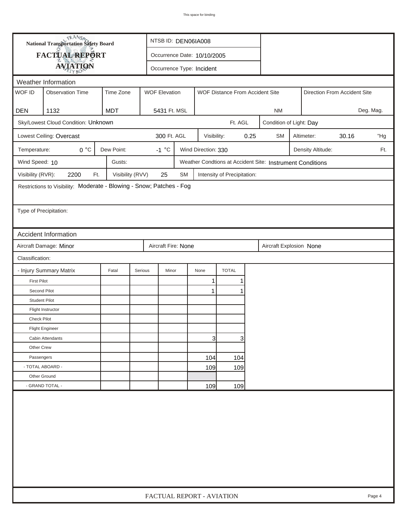|                                                                           | <b>National Transportation Safety Board</b><br>NTSB ID: DEN06IA008   |                           |                             |           |                     |                                 |      |                                                           |  |                   |                              |           |
|---------------------------------------------------------------------------|----------------------------------------------------------------------|---------------------------|-----------------------------|-----------|---------------------|---------------------------------|------|-----------------------------------------------------------|--|-------------------|------------------------------|-----------|
|                                                                           | FACTUAL REPORT                                                       |                           | Occurrence Date: 10/10/2005 |           |                     |                                 |      |                                                           |  |                   |                              |           |
|                                                                           | <b>AVIATION</b>                                                      | Occurrence Type: Incident |                             |           |                     |                                 |      |                                                           |  |                   |                              |           |
| Weather Information                                                       |                                                                      |                           |                             |           |                     |                                 |      |                                                           |  |                   |                              |           |
| WOF ID                                                                    | <b>Observation Time</b>                                              | Time Zone                 | <b>WOF Elevation</b>        |           |                     | WOF Distance From Accident Site |      |                                                           |  |                   | Direction From Accident Site |           |
|                                                                           |                                                                      |                           |                             |           |                     |                                 |      |                                                           |  |                   |                              |           |
| <b>DEN</b>                                                                | 1132                                                                 | <b>MDT</b>                | 5431 Ft. MSL                |           |                     |                                 |      | <b>NM</b>                                                 |  |                   |                              | Deg. Mag. |
| Sky/Lowest Cloud Condition: Unknown<br>Ft. AGL<br>Condition of Light: Day |                                                                      |                           |                             |           |                     |                                 |      |                                                           |  |                   |                              |           |
|                                                                           | Lowest Ceiling: Overcast                                             |                           | 300 Ft. AGL                 |           | Visibility:         |                                 | 0.25 | <b>SM</b>                                                 |  | Altimeter:        | 30.16                        | "Hg       |
| Temperature:                                                              | 0 °C                                                                 | Dew Point:                | $-1 °C$                     |           | Wind Direction: 330 |                                 |      |                                                           |  | Density Altitude: |                              | Ft.       |
| Wind Speed: 10                                                            |                                                                      | Gusts:                    |                             |           |                     |                                 |      | Weather Condtions at Accident Site: Instrument Conditions |  |                   |                              |           |
| Visibility (RVR):                                                         | 2200<br>Ft.                                                          | Visibility (RVV)          | 25                          | <b>SM</b> |                     | Intensity of Precipitation:     |      |                                                           |  |                   |                              |           |
|                                                                           | Restrictions to Visibility: Moderate - Blowing - Snow; Patches - Fog |                           |                             |           |                     |                                 |      |                                                           |  |                   |                              |           |
|                                                                           |                                                                      |                           |                             |           |                     |                                 |      |                                                           |  |                   |                              |           |
| Type of Precipitation:                                                    |                                                                      |                           |                             |           |                     |                                 |      |                                                           |  |                   |                              |           |
|                                                                           |                                                                      |                           |                             |           |                     |                                 |      |                                                           |  |                   |                              |           |
|                                                                           | <b>Accident Information</b>                                          |                           |                             |           |                     |                                 |      |                                                           |  |                   |                              |           |
|                                                                           | Aircraft Damage: Minor                                               |                           | Aircraft Fire: None         |           |                     |                                 |      | Aircraft Explosion None                                   |  |                   |                              |           |
| Classification:                                                           |                                                                      |                           |                             |           |                     |                                 |      |                                                           |  |                   |                              |           |
|                                                                           | - Injury Summary Matrix                                              | Fatal                     | Serious<br>Minor            |           | None                | <b>TOTAL</b>                    |      |                                                           |  |                   |                              |           |
| <b>First Pilot</b>                                                        |                                                                      |                           |                             |           | 1                   |                                 |      |                                                           |  |                   |                              |           |
| Second Pilot                                                              |                                                                      |                           |                             |           | 1                   |                                 |      |                                                           |  |                   |                              |           |
| <b>Student Pilot</b>                                                      |                                                                      |                           |                             |           |                     |                                 |      |                                                           |  |                   |                              |           |
|                                                                           | Flight Instructor                                                    |                           |                             |           |                     |                                 |      |                                                           |  |                   |                              |           |
| <b>Check Pilot</b>                                                        |                                                                      |                           |                             |           |                     |                                 |      |                                                           |  |                   |                              |           |
|                                                                           | <b>Flight Engineer</b>                                               |                           |                             |           |                     |                                 |      |                                                           |  |                   |                              |           |
|                                                                           | Cabin Attendants                                                     |                           |                             |           | $\overline{3}$      | 3                               |      |                                                           |  |                   |                              |           |
| Other Crew                                                                |                                                                      |                           |                             |           |                     |                                 |      |                                                           |  |                   |                              |           |
| Passengers                                                                |                                                                      |                           |                             |           | 104                 | 104                             |      |                                                           |  |                   |                              |           |
| - TOTAL ABOARD -                                                          |                                                                      |                           |                             |           | 109                 | 109                             |      |                                                           |  |                   |                              |           |
| Other Ground                                                              |                                                                      |                           |                             |           |                     |                                 |      |                                                           |  |                   |                              |           |
|                                                                           | - GRAND TOTAL -                                                      | 109<br>109                |                             |           |                     |                                 |      |                                                           |  |                   |                              |           |
|                                                                           |                                                                      |                           |                             |           |                     |                                 |      |                                                           |  |                   |                              |           |
| FACTUAL REPORT - AVIATION<br>Page 4                                       |                                                                      |                           |                             |           |                     |                                 |      |                                                           |  |                   |                              |           |